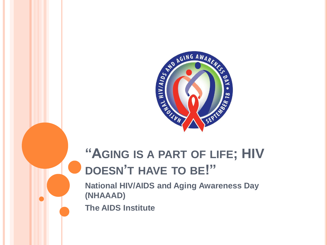

# **"AGING IS A PART OF LIFE; HIV DOESN'T HAVE TO BE!"**

**National HIV/AIDS and Aging Awareness Day (NHAAAD)** 

**The AIDS Institute**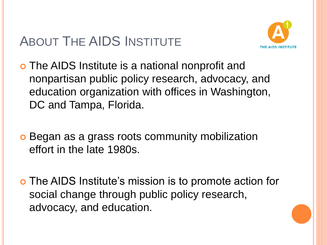# ABOUT THE AIDS INSTITUTE



- The AIDS Institute is a national nonprofit and nonpartisan public policy research, advocacy, and education organization with offices in Washington, DC and Tampa, Florida.
- **o** Began as a grass roots community mobilization effort in the late 1980s.
- The AIDS Institute's mission is to promote action for social change through public policy research, advocacy, and education.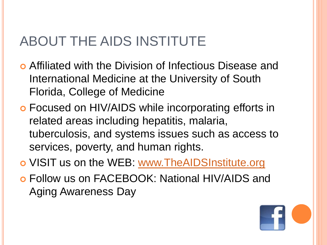# ABOUT THE AIDS INSTITUTE

- Affiliated with the Division of Infectious Disease and International Medicine at the University of South Florida, College of Medicine
- Focused on HIV/AIDS while incorporating efforts in related areas including hepatitis, malaria, tuberculosis, and systems issues such as access to services, poverty, and human rights.
- o VISIT us on the WEB: [www.TheAIDSInstitute.org](http://www.theaidsinstitute.org/)
- Follow us on FACEBOOK: National HIV/AIDS and Aging Awareness Day

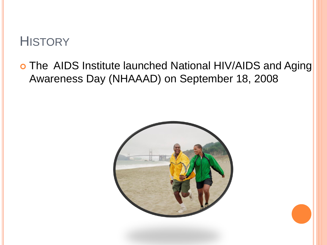### **HISTORY**

#### o The AIDS Institute launched National HIV/AIDS and Aging Awareness Day (NHAAAD) on September 18, 2008

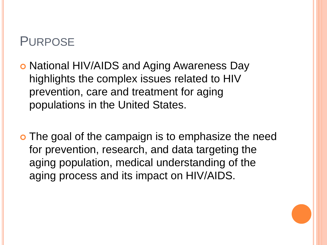#### PURPOSE

- o National HIV/AIDS and Aging Awareness Day highlights the complex issues related to HIV prevention, care and treatment for aging populations in the United States.
- o The goal of the campaign is to emphasize the need for prevention, research, and data targeting the aging population, medical understanding of the aging process and its impact on HIV/AIDS.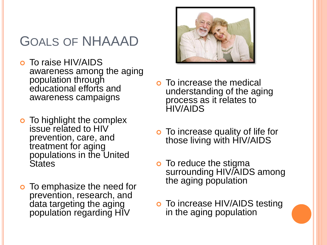# GOALS OF NHAAAD

- To raise HIV/AIDS awareness among the aging population through educational efforts and awareness campaigns
- **o** To highlight the complex issue related to HIV prevention, care, and treatment for aging populations in the United **States**
- **o** To emphasize the need for prevention, research, and data targeting the aging population regarding HIV



- **o** To increase the medical understanding of the aging process as it relates to HIV/AIDS
- **o** To increase quality of life for those living with HIV/AIDS
- **o** To reduce the stigma surrounding HIV/AIDS among the aging population
- **o** To increase HIV/AIDS testing in the aging population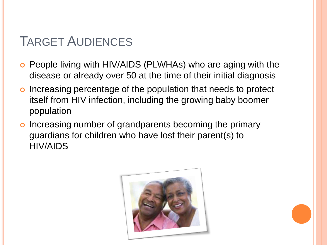## TARGET AUDIENCES

- People living with HIV/AIDS (PLWHAs) who are aging with the disease or already over 50 at the time of their initial diagnosis
- o Increasing percentage of the population that needs to protect itself from HIV infection, including the growing baby boomer population
- o Increasing number of grandparents becoming the primary guardians for children who have lost their parent(s) to HIV/AIDS

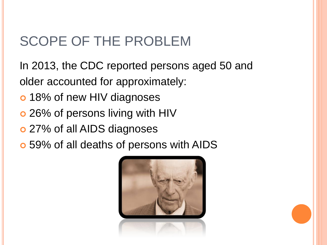# SCOPE OF THE PROBLEM

In 2013, the CDC reported persons aged 50 and older accounted for approximately:

- o 18% of new HIV diagnoses
- o 26% of persons living with HIV
- 27% of all AIDS diagnoses
- 59% of all deaths of persons with AIDS

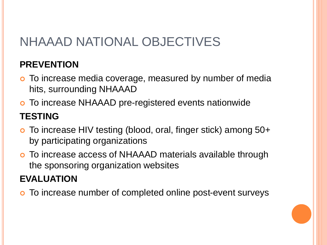# NHAAAD NATIONAL OBJECTIVES

#### **PREVENTION**

- o To increase media coverage, measured by number of media hits, surrounding NHAAAD
- To increase NHAAAD pre-registered events nationwide

#### **TESTING**

- To increase HIV testing (blood, oral, finger stick) among 50+ by participating organizations
- To increase access of NHAAAD materials available through the sponsoring organization websites

#### **EVALUATION**

To increase number of completed online post-event surveys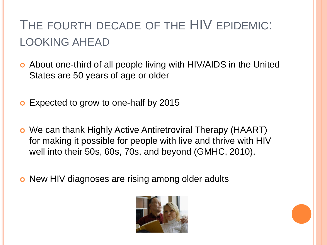# THE FOURTH DECADE OF THE HIV EPIDEMIC: LOOKING AHEAD

- About one-third of all people living with HIV/AIDS in the United States are 50 years of age or older
- **o** Expected to grow to one-half by 2015
- We can thank Highly Active Antiretroviral Therapy (HAART) for making it possible for people with live and thrive with HIV well into their 50s, 60s, 70s, and beyond (GMHC, 2010).
- o New HIV diagnoses are rising among older adults

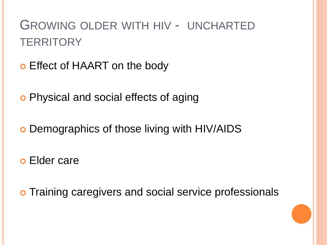# GROWING OLDER WITH HIV - UNCHARTED **TERRITORY**

- Effect of HAART on the body
- **o** Physical and social effects of aging
- o Demographics of those living with HIV/AIDS
- Elder care
- o Training caregivers and social service professionals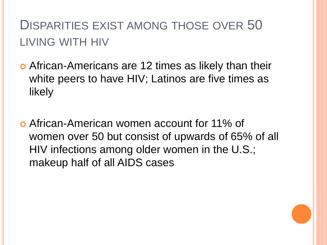# DISPARITIES EXIST AMONG THOSE OVER 50 LIVING WITH HIV

- African-Americans are 12 times as likely than their white peers to have HIV; Latinos are five times as likely
- African-American women account for 11% of women over 50 but consist of upwards of 65% of all HIV infections among older women in the U.S.; makeup half of all AIDS cases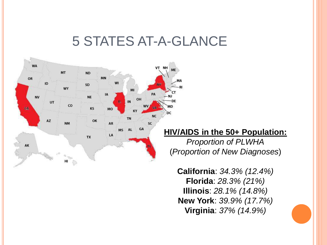### 5 STATES AT-A-GLANCE



#### **HIV/AIDS in the 50+ Population:**

*Proportion of PLWHA* (*Proportion of New Diagnoses*)

**California**: *34.3% (12.4%)* **Florida**: *28.3% (21%)* **Illinois**: *28.1% (14.8%)* **New York**: *39.9% (17.7%)* **Virginia**: *37% (14.9%)*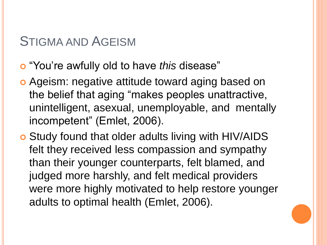### STIGMA AND AGEISM

- "You're awfully old to have *this* disease"
- Ageism: negative attitude toward aging based on the belief that aging "makes peoples unattractive, unintelligent, asexual, unemployable, and mentally incompetent" (Emlet, 2006).
- Study found that older adults living with HIV/AIDS felt they received less compassion and sympathy than their younger counterparts, felt blamed, and judged more harshly, and felt medical providers were more highly motivated to help restore younger adults to optimal health (Emlet, 2006).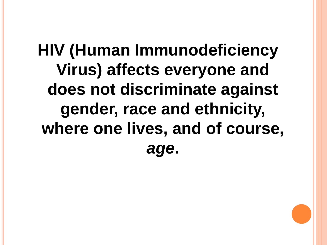# **HIV (Human Immunodeficiency Virus) affects everyone and does not discriminate against gender, race and ethnicity, where one lives, and of course,**  *age***.**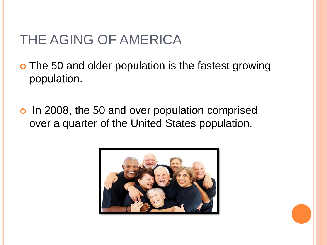# THE AGING OF AMERICA

- o The 50 and older population is the fastest growing population.
- o In 2008, the 50 and over population comprised over a quarter of the United States population.

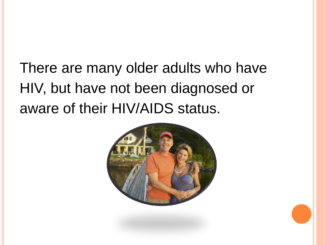# There are many older adults who have HIV, but have not been diagnosed or aware of their HIV/AIDS status.

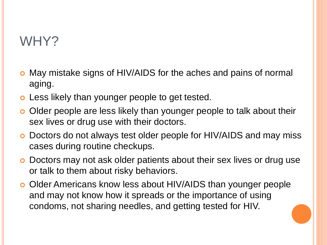## WHY?

- May mistake signs of HIV/AIDS for the aches and pains of normal aging.
- Less likely than younger people to get tested.
- o Older people are less likely than younger people to talk about their sex lives or drug use with their doctors.
- Doctors do not always test older people for HIV/AIDS and may miss cases during routine checkups.
- o Doctors may not ask older patients about their sex lives or drug use or talk to them about risky behaviors.
- o Older Americans know less about HIV/AIDS than younger people and may not know how it spreads or the importance of using condoms, not sharing needles, and getting tested for HIV.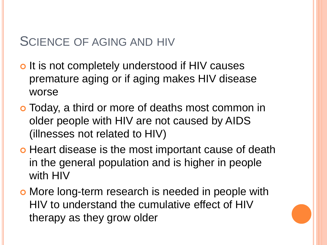### SCIENCE OF AGING AND HIV

- o It is not completely understood if HIV causes premature aging or if aging makes HIV disease worse
- Today, a third or more of deaths most common in older people with HIV are not caused by AIDS (illnesses not related to HIV)
- o Heart disease is the most important cause of death in the general population and is higher in people with HIV
- More long-term research is needed in people with HIV to understand the cumulative effect of HIV therapy as they grow older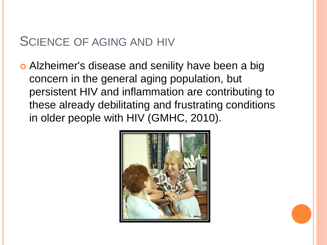#### SCIENCE OF AGING AND HIV

 Alzheimer's disease and senility have been a big concern in the general aging population, but persistent HIV and inflammation are contributing to these already debilitating and frustrating conditions in older people with HIV (GMHC, 2010).

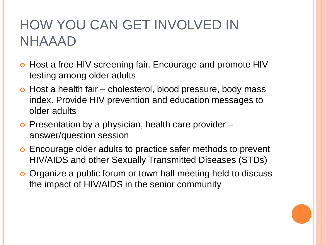# HOW YOU CAN GET INVOLVED IN NHAAAD

- o Host a free HIV screening fair. Encourage and promote HIV testing among older adults
- o Host a health fair cholesterol, blood pressure, body mass index. Provide HIV prevention and education messages to older adults
- $\bullet$  Presentation by a physician, health care provider  $$ answer/question session
- Encourage older adults to practice safer methods to prevent HIV/AIDS and other Sexually Transmitted Diseases (STDs)
- o Organize a public forum or town hall meeting held to discuss the impact of HIV/AIDS in the senior community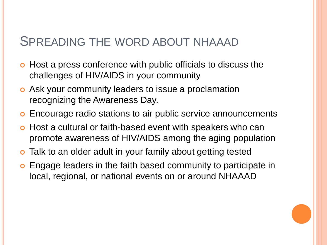#### SPREADING THE WORD ABOUT NHAAAD

- o Host a press conference with public officials to discuss the challenges of HIV/AIDS in your community
- Ask your community leaders to issue a proclamation recognizing the Awareness Day.
- Encourage radio stations to air public service announcements
- Host a cultural or faith-based event with speakers who can promote awareness of HIV/AIDS among the aging population
- **o** Talk to an older adult in your family about getting tested
- Engage leaders in the faith based community to participate in local, regional, or national events on or around NHAAAD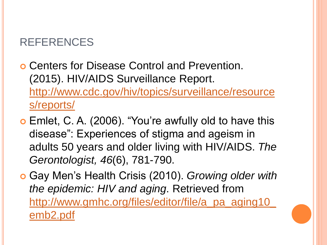#### REFERENCES

- Centers for Disease Control and Prevention. (2015). HIV/AIDS Surveillance Report. [http://www.cdc.gov/hiv/topics/surveillance/resource](http://www.cdc.gov/hiv/topics/surveillance/resources/reports/) s/reports/
- Emlet, C. A. (2006). "You're awfully old to have this disease": Experiences of stigma and ageism in adults 50 years and older living with HIV/AIDS. *The Gerontologist, 46*(6), 781-790.
- Gay Men's Health Crisis (2010). *Growing older with the epidemic: HIV and aging*. Retrieved from [http://www.gmhc.org/files/editor/file/a\\_pa\\_aging10\\_](http://www.gmhc.org/files/editor/file/a_pa_aging10_emb2.pdf) emb2.pdf